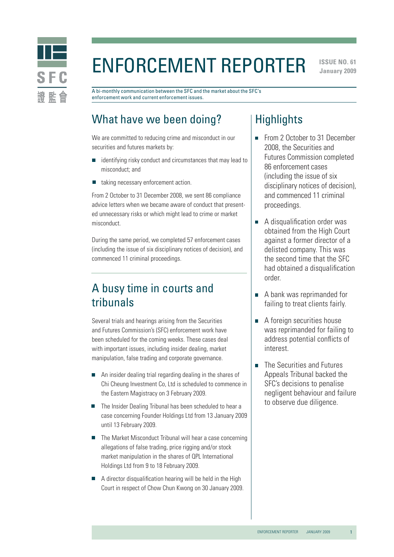

# Enforcement Reporter

**ISSUE NO. 61 January 2009** 

A bi-monthly communication between the SFC and the market about the SFC's enforcement work and current enforcement issues.

# What have we been doing?

We are committed to reducing crime and misconduct in our securities and futures markets by:

- $\blacksquare$  identifying risky conduct and circumstances that may lead to misconduct; and
- taking necessary enforcement action.  $\Box$

From 2 October to 31 December 2008, we sent 86 compliance advice letters when we became aware of conduct that presented unnecessary risks or which might lead to crime or market misconduct.

During the same period, we completed 57 enforcement cases (including the issue of six disciplinary notices of decision), and commenced 11 criminal proceedings.

# A busy time in courts and tribunals

Several trials and hearings arising from the Securities and Futures Commission's (SFC) enforcement work have been scheduled for the coming weeks. These cases deal with important issues, including insider dealing, market manipulation, false trading and corporate governance.

- An insider dealing trial regarding dealing in the shares of Chi Cheung Investment Co, Ltd is scheduled to commence in the Eastern Magistracy on 3 February 2009.
- The Insider Dealing Tribunal has been scheduled to hear a case concerning Founder Holdings Ltd from 13 January 2009 until 13 February 2009.
- The Market Misconduct Tribunal will hear a case concerning allegations of false trading, price rigging and/or stock market manipulation in the shares of QPL International Holdings Ltd from 9 to 18 February 2009.
- $\blacksquare$  A director disqualification hearing will be held in the High Court in respect of Chow Chun Kwong on 30 January 2009.

# **Highlights**

- From 2 October to 31 December 2008, the Securities and Futures Commission completed 86 enforcement cases (including the issue of six disciplinary notices of decision), and commenced 11 criminal proceedings.
- A disqualification order was obtained from the High Court against a former director of a delisted company. This was the second time that the SFC had obtained a disqualification order.
- A bank was reprimanded for failing to treat clients fairly.
- A foreign securities house was reprimanded for failing to address potential conflicts of interest.
- The Securities and Futures  $\overline{\phantom{a}}$ Appeals Tribunal backed the SFC's decisions to penalise negligent behaviour and failure to observe due diligence.

1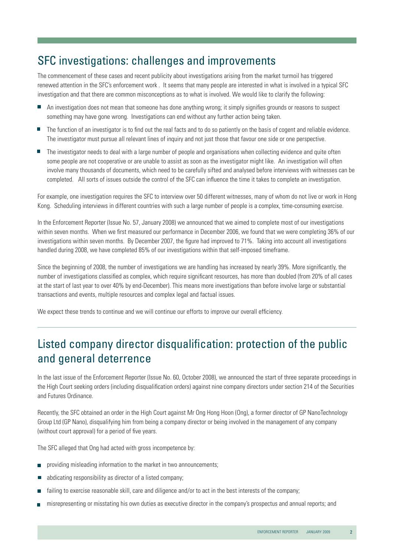# SFC investigations: challenges and improvements

The commencement of these cases and recent publicity about investigations arising from the market turmoil has triggered renewed attention in the SFC's enforcement work . It seems that many people are interested in what is involved in a typical SFC investigation and that there are common misconceptions as to what is involved. We would like to clarify the following:

- An investigation does not mean that someone has done anything wrong; it simply signifies grounds or reasons to suspect something may have gone wrong. Investigations can end without any further action being taken.
- The function of an investigator is to find out the real facts and to do so patiently on the basis of cogent and reliable evidence. The investigator must pursue all relevant lines of inquiry and not just those that favour one side or one perspective.
- The investigator needs to deal with a large number of people and organisations when collecting evidence and quite often some people are not cooperative or are unable to assist as soon as the investigator might like. An investigation will often involve many thousands of documents, which need to be carefully sifted and analysed before interviews with witnesses can be completed. All sorts of issues outside the control of the SFC can influence the time it takes to complete an investigation.

For example, one investigation requires the SFC to interview over 50 different witnesses, many of whom do not live or work in Hong Kong. Scheduling interviews in different countries with such a large number of people is a complex, time-consuming exercise.

In the Enforcement Reporter (Issue No. 57, January 2008) we announced that we aimed to complete most of our investigations within seven months. When we first measured our performance in December 2006, we found that we were completing 36% of our investigations within seven months. By December 2007, the figure had improved to 71%. Taking into account all investigations handled during 2008, we have completed 85% of our investigations within that self-imposed timeframe.

Since the beginning of 2008, the number of investigations we are handling has increased by nearly 39%. More significantly, the number of investigations classified as complex, which require significant resources, has more than doubled (from 20% of all cases at the start of last year to over 40% by end-December). This means more investigations than before involve large or substantial transactions and events, multiple resources and complex legal and factual issues.

We expect these trends to continue and we will continue our efforts to improve our overall efficiency.

# Listed company director disqualification: protection of the public and general deterrence

In the last issue of the Enforcement Reporter (Issue No. 60, October 2008), we announced the start of three separate proceedings in the High Court seeking orders (including disqualification orders) against nine company directors under section 214 of the Securities and Futures Ordinance.

Recently, the SFC obtained an order in the High Court against Mr Ong Hong Hoon (Ong), a former director of GP NanoTechnology Group Ltd (GP Nano), disqualifying him from being a company director or being involved in the management of any company (without court approval) for a period of five years.

The SFC alleged that Ong had acted with gross incompetence by:

- providing misleading information to the market in two announcements;  $\overline{\phantom{a}}$
- abdicating responsibility as director of a listed company; П
- failing to exercise reasonable skill, care and diligence and/or to act in the best interests of the company;
- misrepresenting or misstating his own duties as executive director in the company's prospectus and annual reports; and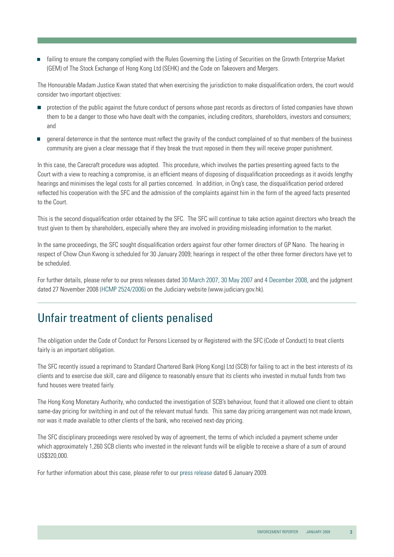failing to ensure the company complied with the Rules Governing the Listing of Securities on the Growth Enterprise Market (GEM) of The Stock Exchange of Hong Kong Ltd (SEHK) and the Code on Takeovers and Mergers.

The Honourable Madam Justice Kwan stated that when exercising the jurisdiction to make disqualification orders, the court would consider two important objectives:

- protection of the public against the future conduct of persons whose past records as directors of listed companies have shown them to be a danger to those who have dealt with the companies, including creditors, shareholders, investors and consumers; and
- general deterrence in that the sentence must reflect the gravity of the conduct complained of so that members of the business community are given a clear message that if they break the trust reposed in them they will receive proper punishment.

In this case, the Carecraft procedure was adopted. This procedure, which involves the parties presenting agreed facts to the Court with a view to reaching a compromise, is an efficient means of disposing of disqualification proceedings as it avoids lengthy hearings and minimises the legal costs for all parties concerned. In addition, in Ong's case, the disqualification period ordered reflected his cooperation with the SFC and the admission of the complaints against him in the form of the agreed facts presented to the Court.

This is the second disqualification order obtained by the SFC. The SFC will continue to take action against directors who breach the trust given to them by shareholders, especially where they are involved in providing misleading information to the market.

In the same proceedings, the SFC sought disqualification orders against four other former directors of GP Nano. The hearing in respect of Chow Chun Kwong is scheduled for 30 January 2009; hearings in respect of the other three former directors have yet to be scheduled.

For further details, please refer to our press releases dated [30 March 2007,](http://www.sfc.hk/sfcPressRelease/EN/sfcOpenDocServlet?docno=07PR51) [30 May 2007](http://www.sfc.hk/sfcPressRelease/EN/sfcOpenDocServlet?docno=07PR89) an[d 4 December 2008,](http://www.sfc.hk/sfcPressRelease/EN/sfcOpenDocServlet?docno=08PR193) and the judgment dated 27 November 2008 [\(HCMP 2524/2006\)](http://legalref.judiciary.gov.hk/lrs/common/search/search_result_detail_body.jsp?ID=&DIS=63506&QS=%28%7BHCMP2524%2F2006%7D%7C%7BHCMP002524%2F2006%7D+%25caseno%29&TP=JU#) on the Judiciary website (www.judiciary.gov.hk).

#### Unfair treatment of clients penalised

The obligation under the Code of Conduct for Persons Licensed by or Registered with the SFC (Code of Conduct) to treat clients fairly is an important obligation.

The SFC recently issued a reprimand to Standard Chartered Bank (Hong Kong) Ltd (SCB) for failing to act in the best interests of its clients and to exercise due skill, care and diligence to reasonably ensure that its clients who invested in mutual funds from two fund houses were treated fairly.

The Hong Kong Monetary Authority, who conducted the investigation of SCB's behaviour, found that it allowed one client to obtain same-day pricing for switching in and out of the relevant mutual funds. This same day pricing arrangement was not made known, nor was it made available to other clients of the bank, who received next-day pricing.

The SFC disciplinary proceedings were resolved by way of agreement, the terms of which included a payment scheme under which approximately 1,260 SCB clients who invested in the relevant funds will be eligible to receive a share of a sum of around US\$320,000.

For further information about this case, please refer to our [press release dated](http://www.sfc.hk/sfcPressRelease/EN/sfcOpenDocServlet?docno=09PR2) 6 January 2009.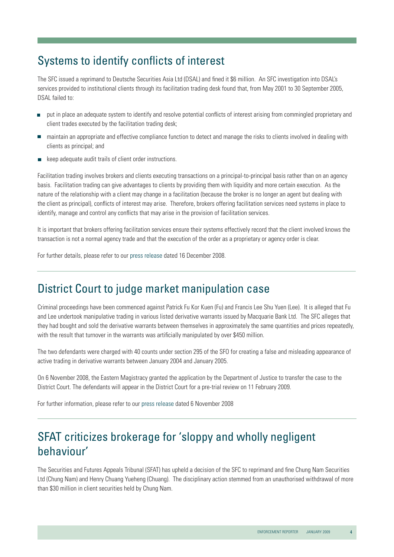# Systems to identify conflicts of interest

The SFC issued a reprimand to Deutsche Securities Asia Ltd (DSAL) and fined it \$6 million. An SFC investigation into DSAL's services provided to institutional clients through its facilitation trading desk found that, from May 2001 to 30 September 2005, DSAL failed to:

- put in place an adequate system to identify and resolve potential conflicts of interest arising from commingled proprietary and client trades executed by the facilitation trading desk;
- maintain an appropriate and effective compliance function to detect and manage the risks to clients involved in dealing with clients as principal; and
- keep adequate audit trails of client order instructions.

Facilitation trading involves brokers and clients executing transactions on a principal-to-principal basis rather than on an agency basis. Facilitation trading can give advantages to clients by providing them with liquidity and more certain execution. As the nature of the relationship with a client may change in a facilitation (because the broker is no longer an agent but dealing with the client as principal), conflicts of interest may arise. Therefore, brokers offering facilitation services need systems in place to identify, manage and control any conflicts that may arise in the provision of facilitation services.

It is important that brokers offering facilitation services ensure their systems effectively record that the client involved knows the transaction is not a normal agency trade and that the execution of the order as a proprietary or agency order is clear.

For further details, please refer to ou[r press release dated](http://www.sfc.hk/sfcPressRelease/EN/sfcOpenDocServlet?docno=08PR195) 16 December 2008.

#### District Court to judge market manipulation case

Criminal proceedings have been commenced against Patrick Fu Kor Kuen (Fu) and Francis Lee Shu Yuen (Lee). It is alleged that Fu and Lee undertook manipulative trading in various listed derivative warrants issued by Macquarie Bank Ltd. The SFC alleges that they had bought and sold the derivative warrants between themselves in approximately the same quantities and prices repeatedly, with the result that turnover in the warrants was artificially manipulated by over \$450 million.

The two defendants were charged with 40 counts under section 295 of the SFO for creating a false and misleading appearance of active trading in derivative warrants between January 2004 and January 2005.

On 6 November 2008, the Eastern Magistracy granted the application by the Department of Justice to transfer the case to the District Court. The defendants will appear in the District Court for a pre-trial review on 11 February 2009.

For further information, please refer to our [press release](http://www.sfc.hk/sfcPressRelease/EN/sfcOpenDocServlet?docno=08PR179) dated 6 November 2008

# SFAT criticizes brokerage for 'sloppy and wholly negligent behaviour'

The Securities and Futures Appeals Tribunal (SFAT) has upheld a decision of the SFC to reprimand and fine Chung Nam Securities Ltd (Chung Nam) and Henry Chuang Yueheng (Chuang). The disciplinary action stemmed from an unauthorised withdrawal of more than \$30 million in client securities held by Chung Nam.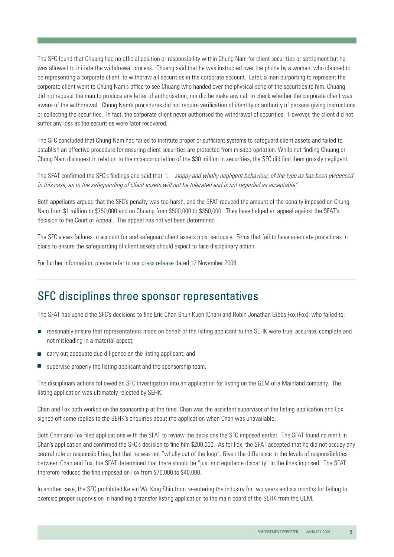The SFC found that Chuang had no official position or responsibility within Chung Nam for client securities or settlement but he was allowed to initiate the withdrawal process. Chuang said that he was instructed over the phone by a woman, who claimed to be representing a corporate client, to withdraw all securities in the corporate account. Later, a man purporting to represent the corporate client went to Chung Nam's office to see Chuang who handed over the physical scrip of the securities to him. Chuang did not request the man to produce any letter of authorisation; nor did he make any call to check whether the corporate client was aware of the withdrawal. Chung Nam's procedures did not require verification of identity or authority of persons giving instructions or collecting the securities. In fact, the corporate client never authorised the withdrawal of securities. However, the client did not suffer any loss as the securities were later recovered.

The SFC concluded that Chung Nam had failed to institute proper or sufficient systems to safeguard client assets and failed to establish an effective procedure for ensuring client securities are protected from misappropriation. While not finding Chuang or Chung Nam dishonest in relation to the misappropriation of the \$30 million in securities, the SFC did find them grossly negligent.

The SFAT confirmed the SFC's findings and said that "... sloppy and wholly negligent behaviour, of the type as has been evidenced in this case, as to the safeguarding of client assets will not be tolerated and is not regarded as acceptable".

Both appellants argued that the SFC's penalty was too harsh, and the SFAT reduced the amount of the penalty imposed on Chung Nam from \$1 million to \$750,000 and on Chuang from \$500,000 to \$350,000. They have lodged an appeal against the SFAT's decision to the Court of Appeal. The appeal has not yet been determined .

The SFC views failures to account for and safeguard client assets most seriously. Firms that fail to have adequate procedures in place to ensure the safeguarding of client assets should expect to face disciplinary action.

For further information, please refer to o[ur press release date](http://www.sfc.hk/sfcPressRelease/EN/sfcOpenDocServlet?docno=08PR184)d 12 November 2008.

#### SFC disciplines three sponsor representatives

The SFAT has upheld the SFC's decisions to fine Eric Chan Shun Kuen (Chan) and Robin Jonathan Gibbs Fox (Fox), who failed to:

- reasonably ensure that representations made on behalf of the listing applicant to the SEHK were true, accurate, complete and  $\mathcal{L}_{\mathcal{A}}$ not misleading in a material aspect;
- carry out adequate due diligence on the listing applicant; and  $\overline{\mathbb{R}^n}$
- supervise properly the listing applicant and the sponsorship team.

The disciplinary actions followed an SFC investigation into an application for listing on the GEM of a Mainland company. The listing application was ultimately rejected by SEHK.

Chan and Fox both worked on the sponsorship at the time. Chan was the assistant supervisor of the listing application and Fox signed off some replies to the SEHK's enquiries about the application when Chan was unavailable.

Both Chan and Fox filed applications with the SFAT to review the decisions the SFC imposed earlier. The SFAT found no merit in Chan's application and confirmed the SFC's decision to fine him \$200,000. As for Fox, the SFAT accepted that he did not occupy any central role or responsibilities, but that he was not "wholly out of the loop". Given the difference in the levels of responsibilities between Chan and Fox, the SFAT determined that there should be "just and equitable disparity" in the fines imposed. The SFAT therefore reduced the fine imposed on Fox from \$70,000 to \$40,000.

In another case, the SFC prohibited Kelvin Wu King Shiu from re-entering the industry for two years and six months for failing to exercise proper supervision in handling a transfer listing application to the main board of the SEHK from the GEM.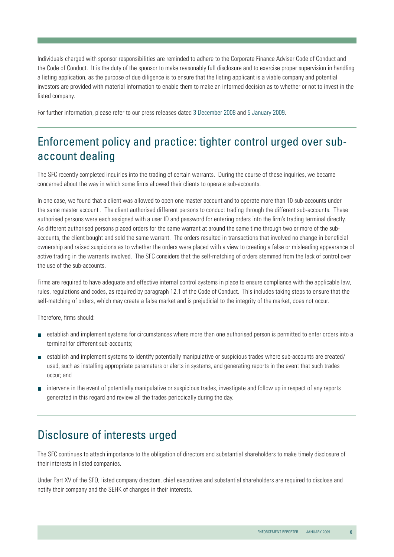Individuals charged with sponsor responsibilities are reminded to adhere to the Corporate Finance Adviser Code of Conduct and the Code of Conduct. It is the duty of the sponsor to make reasonably full disclosure and to exercise proper supervision in handling a listing application, as the purpose of due diligence is to ensure that the listing applicant is a viable company and potential investors are provided with material information to enable them to make an informed decision as to whether or not to invest in the listed company.

For further information, please refer to our press releases date[d 3 December 2008](http://www.sfc.hk/sfcPressRelease/EN/sfcOpenDocServlet?docno=08PR191) [and 5 January 2009.](http://www.sfc.hk/sfcPressRelease/EN/sfcOpenDocServlet?docno=09PR1)

# Enforcement policy and practice: tighter control urged over subaccount dealing

The SFC recently completed inquiries into the trading of certain warrants. During the course of these inquiries, we became concerned about the way in which some firms allowed their clients to operate sub-accounts.

In one case, we found that a client was allowed to open one master account and to operate more than 10 sub-accounts under the same master account . The client authorised different persons to conduct trading through the different sub-accounts. These authorised persons were each assigned with a user ID and password for entering orders into the firm's trading terminal directly. As different authorised persons placed orders for the same warrant at around the same time through two or more of the subaccounts, the client bought and sold the same warrant. The orders resulted in transactions that involved no change in beneficial ownership and raised suspicions as to whether the orders were placed with a view to creating a false or misleading appearance of active trading in the warrants involved. The SFC considers that the self-matching of orders stemmed from the lack of control over the use of the sub-accounts.

Firms are required to have adequate and effective internal control systems in place to ensure compliance with the applicable law, rules, regulations and codes, as required by paragraph 12.1 of the Code of Conduct. This includes taking steps to ensure that the self-matching of orders, which may create a false market and is prejudicial to the integrity of the market, does not occur.

Therefore, firms should:

- establish and implement systems for circumstances where more than one authorised person is permitted to enter orders into a terminal for different sub-accounts;
- establish and implement systems to identify potentially manipulative or suspicious trades where sub-accounts are created/ used, such as installing appropriate parameters or alerts in systems, and generating reports in the event that such trades occur; and
- intervene in the event of potentially manipulative or suspicious trades, investigate and follow up in respect of any reports generated in this regard and review all the trades periodically during the day.

# Disclosure of interests urged

The SFC continues to attach importance to the obligation of directors and substantial shareholders to make timely disclosure of their interests in listed companies.

Under Part XV of the SFO, listed company directors, chief executives and substantial shareholders are required to disclose and notify their company and the SEHK of changes in their interests.